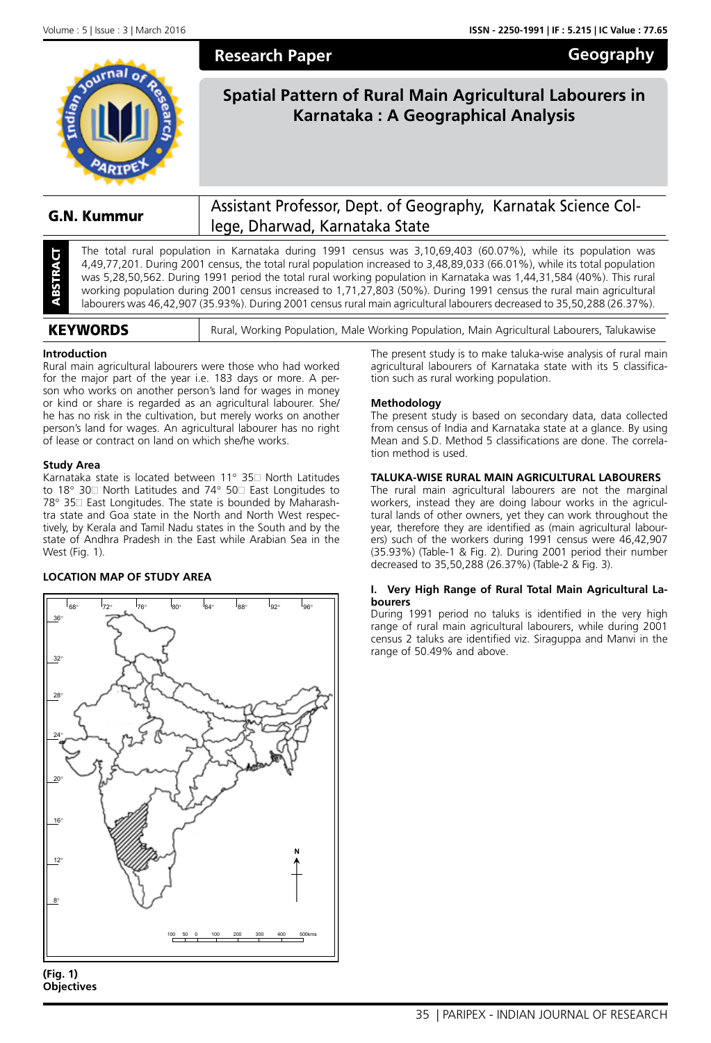**Geography**



**Spatial Pattern of Rural Main Agricultural Labourers in Karnataka : A Geographical Analysis**

# G.N. Kummur Assistant Professor, Dept. of Geography, Karnatak Science College, Dharwad, Karnataka State

The total rural population in Karnataka during 1991 census was 3,10,69,403 (60.07%), while its population was 4,49,77,201. During 2001 census, the total rural population increased to 3,48,89,033 (66.01%), while its total p The total rural population in Karnataka during 1991 census was 3,10,69,403 (60.07%), while its population was 4,49,77,201. During 2001 census, the total rural population increased to 3,48,89,033 (66.01%), while its total population was 5,28,50,562. During 1991 period the total rural working population in Karnataka was 1,44,31,584 (40%). This rural working population during 2001 census increased to 1,71,27,803 (50%). During 1991 census the rural main agricultural labourers was 46,42,907 (35.93%). During 2001 census rural main agricultural labourers decreased to 35,50,288 (26.37%).

| <b>KEYWORDS</b> | Rural, Working Population, Male Working Population, Main Agricultural Labourers, Talukawise |
|-----------------|---------------------------------------------------------------------------------------------|

**Research Paper**

## **Introduction**

Rural main agricultural labourers were those who had worked for the major part of the year i.e. 183 days or more. A person who works on another person's land for wages in money or kind or share is regarded as an agricultural labourer. She/ he has no risk in the cultivation, but merely works on another person's land for wages. An agricultural labourer has no right of lease or contract on land on which she/he works.

## **Study Area**

Karnataka state is located between  $11^{\circ}$  35 $\Box$  North Latitudes to 18° 30 $\Box$  North Latitudes and 74° 50 $\Box$  East Longitudes to 78° 35□ East Longitudes. The state is bounded by Maharashtra state and Goa state in the North and North West respectively, by Kerala and Tamil Nadu states in the South and by the state of Andhra Pradesh in the East while Arabian Sea in the West (Fig. 1).

## **LOCATION MAP OF STUDY AREA**



**<sup>(</sup>Fig. 1) Objectives**

The present study is to make taluka-wise analysis of rural main agricultural labourers of Karnataka state with its 5 classification such as rural working population.

## **Methodology**

The present study is based on secondary data, data collected from census of India and Karnataka state at a glance. By using Mean and S.D. Method 5 classifications are done. The correlation method is used.

## **TALUKA-WISE RURAL MAIN AGRICULTURAL LABOURERS**

The rural main agricultural labourers are not the marginal workers, instead they are doing labour works in the agricultural lands of other owners, yet they can work throughout the year, therefore they are identified as (main agricultural labourers) such of the workers during 1991 census were 46,42,907 (35.93%) (Table-1 & Fig. 2). During 2001 period their number decreased to 35,50,288 (26.37%) (Table-2 & Fig. 3).

#### **I. Very High Range of Rural Total Main Agricultural Labourers**

During 1991 period no taluks is identified in the very high range of rural main agricultural labourers, while during 2001 census 2 taluks are identified viz. Siraguppa and Manvi in the range of 50.49% and above.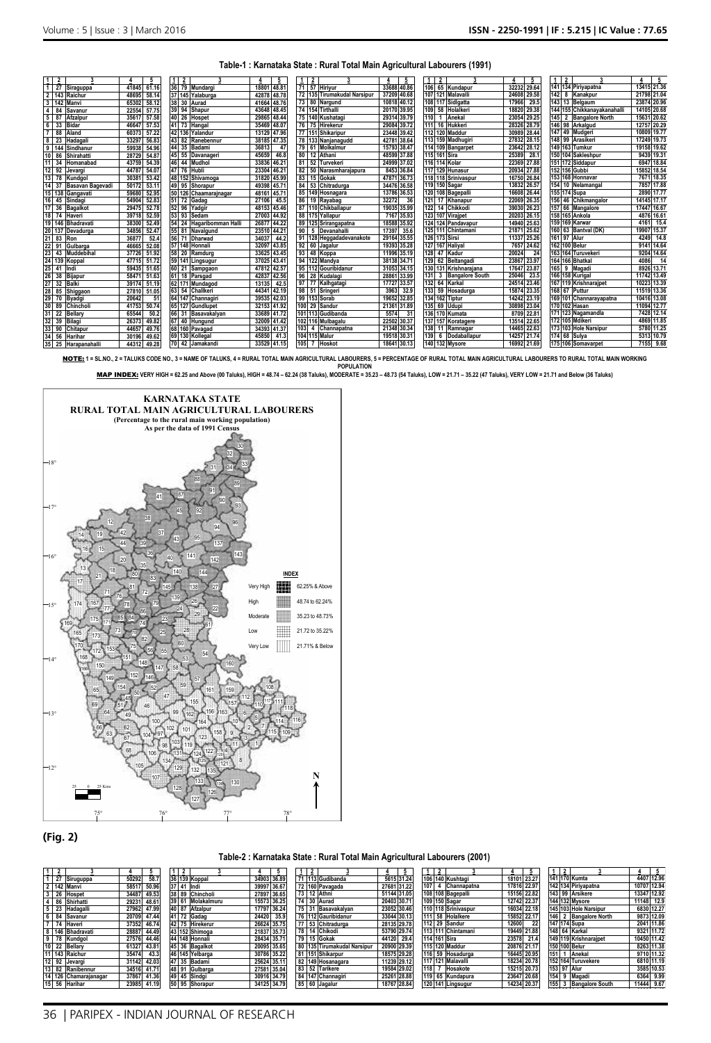#### **Table-1 : Karnataka State : Rural Total Main Agricultural Labourers (1991)**

| 1<br>$\overline{2}$                 | 5              | $\overline{2}$<br>1         | 5                       | $\overline{2}$                       | 5              |                               | 5              |                             |             |
|-------------------------------------|----------------|-----------------------------|-------------------------|--------------------------------------|----------------|-------------------------------|----------------|-----------------------------|-------------|
| 27<br>Siraguppa                     | 41845<br>61.16 | 36 79 Mundargi              | 48.8<br>1880            | 71<br>57 Hirivur                     | 33688<br>40.86 | 65 Kundapur<br>106            | 32232<br>29.64 | 141<br>134 Pirivapatna      | 13415 21.36 |
| 2 143<br>Raichur                    | 48695<br>58.14 | 37 145 Yalaburga            | 42878<br>48.78          | 72 135 Tirumakudal Narsipur          | 37209<br>40.68 | 107 121<br><b>Malavalli</b>   | 24608<br>29.58 | 142<br>8<br>Kanakour        | 21798 21.04 |
| $\overline{3}$<br>142<br>Manvi      | 58.12<br>65302 | 38 30<br>Aurad              | 48.76<br>41664          | 73 80<br>Nargund                     | 40.12<br>10818 | 108 117<br>Sidlaatta          | 17966<br>29.5  | 143<br>13<br>Belgaum        | 23874 20.96 |
| 4<br>84<br>Savanur                  | 22554<br>57.75 | 39 94<br>Shapur             | 43648<br>48.45          | 74 154 Tirthalli                     | 20170<br>39.95 | 58 Holalkeri<br>109           | 18820<br>29.38 | 144 155 Chikkanayakanahalli | 14105 20.68 |
| 5<br>87<br>Afzalpur                 | 35617<br>57.58 | 40 26<br>Hospet             | 29865<br>48.44          | 75 140 Kushatagi                     | 29314 39.79    | 110<br>Anekal                 | 23054 29.25    | 145<br>2 Bangalore North    | 15631 20.62 |
| 6<br>33<br><b>Bidar</b>             | 46647<br>57.53 | 41 73<br>Hangal             | 35469<br>48.07          | 76<br><b>Hirekerur</b><br>75         | 29084<br>39.72 | 16 Hukkeri<br>111             | 28326 28.79    | 146 98 Arkalgud             | 12757 20.29 |
| $\overline{7}$<br>88<br>Aland       | 57.22<br>60373 | 42 136<br>Yalandur          | 47.96<br>13129          | 77 151 Shikaripur                    | 23448 39.42    | 112 120 Maddur                | 30989 28.44    | 147<br>49 Mudgeri           | 10809 19.77 |
| 8<br>23<br>Hadagali                 | 56.83<br>33297 | 43 82<br>Ranebennur         | 47.35<br>38185          | 78 133 Nanianagudd                   | 42781 38.64    | 113 159 Madhugiri             | 27832 28.1     | 99<br>148<br>Arasikeri      | 17249 19.73 |
| 9<br>Sindhanur<br>144               | 54.96<br>59938 | 44<br>35<br>Badami          | 36813<br>47             | 79<br>Molkalmur<br>61                | 38.47<br>15793 | 114 109 Bangarpet             | 23642 28.12    | 149 163 Tumkur              | 19158 19.62 |
| 10<br>86<br>Shirahatti              | 28729<br>54.87 | 45<br>55<br>Davanageri      | 46.8<br>45659           | 80<br>Athani<br>12                   | 37.88<br>48599 | 115 161 Sira                  | 25389<br>28.   | 150 104<br>Sakleshpur       | 9439 19.31  |
| 11<br>Homanabad                     | 43759<br>54.39 | 46<br>44<br><b>Mudhol</b>   | 46.21<br>33836          | 81<br>52<br>Turvekeri                | 37.02<br>24999 | 116 114 Kolar                 | 22369<br>27.88 | 151 172<br>Siddapur         | 6947 18.84  |
| 12<br>92<br>Jevargi                 | 54.07<br>44787 | 47 76<br>Hubli              | 46.21<br>23304          | 82<br>Narasmharajapura               | 36.84<br>8453  | 129 Hunasur<br>117            | 20934<br>27.88 | 152<br>156 Gubbi            | 15852 18.54 |
| 13<br>78<br><b>Cundaol</b>          | 30381<br>53.42 | 48 152<br>Shivamoga         | 45.99<br>31820          | 83<br>15<br>Gokak                    | 47871<br>36.73 | 118 118 Srinivaspur           | 16750 26.84    | 153 168 Honnavar            | 7671 18.3   |
| 14<br>37<br><b>Basavan Bagevadi</b> | 50172<br>53.11 | 49 95<br>Shorapur           | 45.7<br>49398           | 84<br>53<br>Chitradurga              | 36.58<br>34476 | 119 150 Sagar                 | 13832 26.57    | 154<br>10<br>Nelamangal     | 7857 17.88  |
| 15 138<br>Gangavati                 | 59680<br>52.95 | 50 126 Chaamarajnagar       | $45.7^{\circ}$<br>48161 | 85 149<br>Hosnagara                  | 36.53<br>13786 | 120<br>108 Bagepalli          | 16608<br>26.44 | 155<br>174 Supa             | 2890 17.77  |
| 16<br>45<br>Sindagi                 | 54904<br>52.83 | 51 72<br>Gadag              | 45.5<br>27106           | 86<br>Ravabag<br>19                  | 32272<br>36    | 17 Khanapur<br>121            | 22069 26.35    | 156<br>Chikmangalor<br>46   | 14145 17.1  |
| 17<br>36<br><b>Bagalkot</b>         | 52.78<br>29475 | 52 96<br>Yadgir             | 45.46<br>48153          | 87 110 Chikballapur                  | 19035 35.99    | 122<br>14 Chikkodi            | 39030 26.23    | 157<br>66 Mangalore         | 17447 16.67 |
| 18 <sup>1</sup><br>74<br>Haveri     | 39718<br>52.59 | 53 93<br>Sedam              | 27003<br>44.92          | 88 175 Yallapur                      | 7167<br>35.93  | 123 107 Viraipet              | 20203<br>26.15 | 158 165 Ankola              | 4876 16.61  |
| 19 146<br><b>Bhadravati</b>         | 38300<br>52.49 | 54 24<br>Hagaribomman Halli | 26877<br>44.22          | 89 125 Srirangapatna                 | 18588<br>35.92 | 124 124 Pandavapur            | 14940 25.63    | 159 169 Karwar              | 4161 15.4   |
| 20 137<br>Devadurga                 | 34856<br>52.47 | 55 81<br>Navalgund          | 23510<br>44.21          | 90<br>Devanahalli<br>. 5 .           | 35.6<br>17397  | 125 111 Chintamani            | 21871 25.62    | 160 63 Bantval (DK)         | 19907 15.37 |
| 21<br>83<br>Ron                     | 36877<br>52.4  | 56 71<br>Dharwad            | 44.2<br>34037           | 91 128 Heggadadevanakote             | 29164<br>35.55 | 126 173 Sirsi                 | 11337 25.26    | 161 97 Alur                 | 4249 14.8   |
| 22<br>91<br>Gulbarga                | 52.08<br>46665 | 57 148<br>Honnali           | 32097<br>43.85          | 92<br>60<br>Jagalur                  | 19393 35.28    | <b>127 167 Halival</b>        | 7657 24.62     | 162 100 Belur               | 9141 14.64  |
| 23<br>Muddebihal<br>43              | 51.92<br>37726 | 58 20<br>Ramdurg            | 43.45<br>33625          | 93<br>48<br>Koppa                    | 11996 35.19    | 128<br>47 Kadur               | 20024          | 163 164 Turuvekeri          | 9204 14.64  |
| 24<br>139<br>Koppal                 | 51.72<br>47715 | 59 14<br>Lingsugur          | 43.41<br>37025          | 94<br>122 Mandya                     | 38138 34.71    | 129<br>62 Beltangadi          | 23867 23.97    | 164 166 Bhatkal             | 14<br>4086  |
| 25<br>41<br>Indi                    | 59435<br>51.65 | Sampgaon                    | 47812<br>42.57          | 95 112 Gouribidanur                  | 34.15<br>31053 | 130 131 Krishnarajana         | 23.87<br>17647 | 165<br>9<br>Magadi          | 8926 13.71  |
| 26<br>38<br>Bijapur                 | 58471<br>51.63 | 18<br>61<br>Parsgad         | 42.56<br>42837          | 96<br>28<br>Kudalagi                 | 33.99<br>28861 | 131<br><b>Bangalore South</b> | 25046<br>23.5  | 166<br>158 Kurigal          | 11742 13.49 |
| 27<br>32<br><b>Balk</b>             | 51.19<br>39174 | 62 17<br>Mundagod           | 42.5<br>13135           | 97<br>Kalhgatagi                     | 33.57<br>17727 | 64 Karkal<br>132              | 24514 23.46    | 167 119 Krishnaraipet       | 10223 13.39 |
| 28<br>85<br>Shiggaon                | 51.05<br>27810 | 63<br>54<br>Challkeri       | 42.19<br>4434           | 98<br>51<br>Sringeri                 | 32.9<br>3963   | 59<br>Hosadurga<br>133        | 23.35<br>15874 | 168<br>Puttur<br>67         | 11519 13.36 |
| 29<br>70<br>Bvadgi                  | 51<br>20642    | 147<br>Channagiri           | 39535<br>42.03          | 99<br>153 Sorab                      | 32.85<br>19652 | 134<br>162 Tiptur             | 14242 23.19    | 169 101 Channarayapatna     | 10416 13.08 |
| 30 89<br>Chincholi                  | 41753<br>50.74 | 65 127<br>Gundlupet         | 41.92<br>32153          | 100<br>29<br>Sandur                  | 31.89<br>21361 | 135<br>69<br>Udupi            | 30898<br>23.04 | 170 102 Hasan               | 11094 12.77 |
| 31<br>22<br><b>Bellary</b>          | 65544<br>50.2  | 66 31<br>Basavakalyan       | 33689<br>41.72          | 101 113 Gudibanda                    | 5574           | 136 170 Kumata                | 8709 22.8      | 171 123 Nagamandla          | 7428 12.14  |
| 32<br>39<br>Bilagi                  | 49.82<br>26373 | 67 40<br>Hungund            | 32009 41.42             | 102 116 Mulbagalu                    | 22502<br>30.37 | 137 157 Koratagere            | 13514<br>22.65 | 172 105 Mdikeri             | 4869 11.8   |
| 33<br>90<br>Chitapur                | 44657<br>49.76 | 68 160 Pavagad              | 34393<br>41.37          | 103<br>Channapatna<br>$\overline{a}$ | 21348 30.34    | 138<br>11 Ramnagar            | 14465 22.63    | 173 103 Hole Narsipur       | 5780 11.25  |
| 34<br>56<br>Harihaı                 | 49.62<br>30196 | 69 130<br>Kollegal          | 45850<br>41.3           | 104 115 Malur                        | 19518<br>30.31 | 139<br>6<br>Dodaballapur      | 14257 21.74    | 174 68 Sulva                | 5313 10.79  |
| $35 \ 25$<br>Harapanahalli          | 44312<br>49.28 | 70 42 Jamakandi             | 33529 41.15             | 105<br>Hoskot                        | 18641 30.13    | 140 132 Mysore                | 16992 21.69    | 175 106 Somavarpet          | 7155 9.68   |

 $\overline{\text{NOTE}}$ : † SL.NO., 2 = TALUKS CODE NO., 3 = NAME OF TALUKS, 4 = RURAL TOTAL MAIN AGRICULTURAL LABOURERS, 5 = PERCENTAGE OF RURAL TOTAL MAIN NAGRICULTURAL LABOURERS TO RURAL TOTAL MAIN WORKING<br>POPULATION

MAP INDEX: VERY HIGH = 62.25 and Above (00 Taluks), HIGH = 48.74 - 62.24 (38 Taluks), MODERATE = 35.23 - 48.73 (54 Taluks), LOW = 21.71 - 35.22 (47 Taluks), VERY LOW = 21.71 and Below (36 Taluks)



## **(Fig. 2)**

## **Table-2 : Karnataka State : Rural Total Main Agricultural Labourers (2001)**

**122 Mandya 32057 27.92**

**47 Kadur 16289 19.25**

| $\mathbf{1}$   | $\overline{2}$        |                | $\overline{2}$    |               | $\overline{2}$              |             | 2                    |               | $\overline{2}$  |                       |             |  |
|----------------|-----------------------|----------------|-------------------|---------------|-----------------------------|-------------|----------------------|---------------|-----------------|-----------------------|-------------|--|
| Ť              | 27 Siruguppa          | 58.7<br>50292  | 36 139 Koppal     | 34903 36.89   | 71 113 Gudibanda            | 5615 31.24  | 106 140 Kushtagi     | 18101 23.27   | 141 170 Kumta   |                       | 4407 12.96  |  |
|                | 2   142 Manvi         | 50.96<br>58517 | 37 41 Indi        | 39997 36.67   | 72 160 Pavagada             | 27681 31.22 | 107<br>4 Channapatna | 17816 22.97   |                 | 142 134 Piriyapatna   | 10707 12.94 |  |
| 3              | 26 Hospet             | 49.53<br>34487 | 38 89 Chincholi   | 27897 36.65   | 73 12 Athni                 | 51144 31.05 | 108 108 Bagepalli    | 15156 22.82   | 143 99 Arsikere |                       | 13347 12.92 |  |
| $\overline{4}$ | 86 Shirhatti          | 48.61<br>29231 | 39 61 Molakalmuru | 15573 36.25   | 74 30 Aurad                 | 20403 30.71 | 109 150 Sagar        | 12742 22.37   | 144 132 Mysore  |                       | 11148 12.9  |  |
| 5              | 23 Hadagalli          | 47.99<br>27962 | 40 87 Afzalpur    | 17797 36.24   | 75 31 Basavakalyan          | 23052 30.46 | 110 118 Srinivaspur  | 16034 22.18   |                 | 145 103 Hole Narsipur | 6830 12.27  |  |
| 6              | 84 Savanur            | 20709<br>47.44 | 41 72 Gadag       | 24420<br>35.9 | 76 112 Gauribidanur         | 33044 30.13 | 111 58 Holalkere     | 15852 22.17   |                 | 146 2 Bangalore North | 9873 12.09  |  |
| $\overline{7}$ | 74 Haveri             | 46.74<br>37352 | 42 75 Hirekerur   | 26624 35.75   | 77 53 Chitradurga           | 28135 29.78 | 112 29 Sandur        | 12600         | 147 174 Supa    |                       | 2041 11.86  |  |
|                | 8 146 Bhadravati      | 28887<br>44.49 | 43 152 Shimoga    | 21837 35.73   | 78 14 Chikodi               | 53790 29.74 | 113 111 Chintamani   | 19449 21.88   | 148 64 Karkal   |                       | 9321 11.72  |  |
| $\overline{9}$ | 78 Kundgol            | 27576<br>44.46 | 44 148 Honnali    | 28434 35.71   | 79 15 Gokak                 | 44120 29.4  | 114 161 Sira         | 23578<br>21.4 |                 | 149 119 Krishnaraipet | 10450 11.42 |  |
| 10             | 22 Bellary            | 43.81<br>61327 | 45 36 Bagalkot    | 20095 35.65   | 80 135 Tirumakudal Narsipur | 20900 29.39 | 115 120 Maddur       | 20876 21.17   | 150 100 Belur   |                       | 8263 11.38  |  |
|                | 11 143 Raichur        | 43.3<br>35474  | 46 145 Yelbarga   | 30786 35.22   | 81 151 Shikarpur            | 18575 29.28 | 116 59 Hosadurga     | 16445 20.95   | 151             | 1 Anekal              | 9710 11.32  |  |
|                | 12 92 Jevargi         | 42.03<br>31142 | 47 35 Badami      | 25624 35.11   | 82 149 Hosanagara           | 11239 29.12 | 117 121 Malavalli    | 18234 20.78   |                 | 152 164 Turuvekere    | 6810 11.19  |  |
|                | 13 82 Ranibennur      | 41.71<br>34516 | 48 91<br>Gulbarga | 27581 35.04   | 83 52 Tarikere              | 19584 29.02 | 118<br>Hosakote      | 15215 20.73   | 153 97 Alur     |                       | 3585 10.53  |  |
|                | 14 126 Chamarajanagar | 37867<br>41.36 | 49 45 Sindai      | 30916 34.79   | 84 147 Channagiri           | 25261 28.88 | 119 65 Kundapura     | 23647 20.68   | 154 9 Magadi    |                       | 6364 9.99   |  |
|                | 15 56 Harihar         | 23985<br>41.19 | 50 95 Shorapur    | 34125 34.79   | 85 60 Jagalur               | 18767 28.84 | 120 141 Lingsugur    | 14234 20.37   | 155             | 3 Bangalore South     | 11444 9.67  |  |
|                |                       |                |                   |               |                             |             |                      |               |                 |                       |             |  |

|     |    | 3                      | 4           | 5          |
|-----|----|------------------------|-------------|------------|
| 141 |    | 170 Kumta              |             | 4407 12.96 |
|     |    | 142 134 Piriyapatna    | 10707 12.94 |            |
| 143 |    | 99 Arsikere            | 13347 12.92 |            |
|     |    | 144 132 Mysore         | 11148       | 12.9       |
|     |    | 145 103 Hole Narsipur  |             | 6830 12.27 |
| 146 | 2  | <b>Bangalore North</b> | 9873        | 12.09      |
|     |    | 147 174 Supa           |             | 2041 11.86 |
| 148 |    | 64 Karkal              |             | 9321 11.72 |
|     |    | 149 119 Krishnarajpet  | 10450 11.42 |            |
|     |    | 150 100 Belur          |             | 8263 11.38 |
| 151 |    | Anekal                 |             | 9710 11.32 |
| 152 |    | 164 Turuvekere         | 6810        | 11.19      |
| 153 | 97 | Alur                   | 3585        | 10.53      |
| 154 | 9  | Magadi                 | 6364        | 9.99       |
| 155 | 3  | <b>Bangalore South</b> | 11444       | 9.67       |

**172 Siddapur 2764 8.47**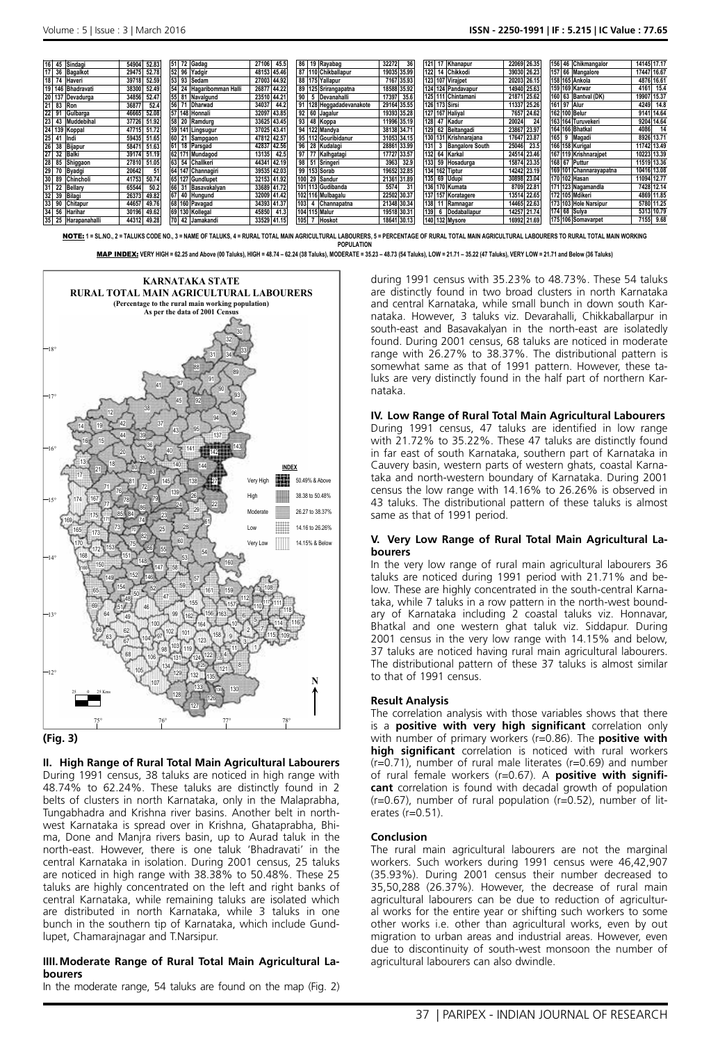**152 Shivamoga 31820 45.99**

**78 Kundgol 30381 53.42**

**168 Honnavar 7671 18.35**

**118 Srinivaspur 16750 26.84**

| 16 45<br>Sindagi           | 52.83<br>54904 | 51 72 Gadag              | 45.5<br>27106  | 86 19 Ravabag                    | 32272<br>36    | $121$<br>17<br>Khanapur       | 22069 26.35   | 156 46 Chikmangalor     | 14145 17.17 |
|----------------------------|----------------|--------------------------|----------------|----------------------------------|----------------|-------------------------------|---------------|-------------------------|-------------|
| 36 Bagalkot                | 52.78<br>29475 | 52 96 Yadgir             | 48153 45.46    | 87 110 Chikballapur              | 19035<br>35.99 | 122<br>Chikkodi               | 39030 26.23   | 157 66 Mangalore        | 17447 16.67 |
| 18 74<br>Haveri            | 52.59<br>39718 | 53 93<br>Sedam           | 27003 44.92    | 88 175 Yallapur                  | 7167<br>35.93  | 123 107 Virajpet              | 20203 26.15   | 158 165 Ankola          | 4876 16.61  |
| 19 146 Bhadravati          | 52.49<br>38300 | 54 24 Hagaribomman Halli | 26877 44.22    | 89 125 Srirangapatna             | 18588<br>35.92 | 124 124 Pandavapur            | 14940 25.63   | 159 169 Karwar          | 4161 15.4   |
| 20 137<br>Devadurga        | 52.47<br>34856 | 55 81<br>Navalgund       | 23510<br>44.2  | 90 <sub>1</sub><br>5 Devanahalli | 17397<br>35.6  | 125 111 Chintamani            | 21871 25.62   | 160 63 Bantval (DK)     | 19907 15.37 |
| 21<br>83<br>Ron            | 36877<br>52.4  | 56 71<br><b>Dharwad</b>  | 44.2<br>34037  | 91 128 Heggadadevanakote         | 29164 35.55    | 126 173 Sirsi                 | 11337 25.26   | 161 97 Alur             | 4249 14.8   |
| 22<br>91<br>Gulbarga       | 52.08<br>46665 | 57 148 Honnali           | 43.85<br>32097 | 92 60 Jagalur                    | 19393<br>35.28 | 127 167 Haliyal               | 24.62<br>7657 | 162 100 Belur           | 9141 14.64  |
| $23$ 43<br>Muddebihal      | 51.92<br>37726 | 20<br>Ramdurg            | 43.45<br>33625 | 93 48 Koppa                      | 11996 35.19    | 128 47<br>Kadur               | 24<br>20024   | 163 164 Turuvekeri      | 9204 14.64  |
| 24 139<br>Koppal           | 51.72<br>47715 | 59 141 Lingsugur         | 37025 43.41    | 94 122 Mandya                    | 38138 34.71    | 129 62 Beltangadi             | 23867 23.97   | 164 166 Bhatkal         | 4086<br>14  |
| 25<br>41<br>Indi           | 59435<br>51.65 | 60 21<br>Sampgaon        | 47812 42.57    | 95 112 Gouribidanur              | 31053 34.15    | 130 131 Krishnarajana         | 17647 23.87   | 165<br>Magadi<br>9      | 8926 13.71  |
| 26<br>38<br>Bijapur        | 51.63<br>58471 | 61 18 Parsgad            | 42.56<br>42837 | 96 28 Kudalagi                   | 28861 33.99    | 131<br><b>Bangalore South</b> | 25046<br>23.5 | 166 158 Kurigal         | 11742 13.49 |
| 27<br>32<br><b>Balki</b>   | 51.19<br>39174 | 62 171 Mundagod          | 42.5<br>13135  | 97 77 Kalhgatagi                 | 17727<br>33.57 | 132<br>Karkal<br>64           | 24514 23.46   | 167 119 Krishnaraipet   | 10223 13.39 |
| 28<br>85<br>Shiggaon       | 27810<br>51.05 | 63 54 Challkeri          | 42.19<br>44341 | 98 51 Sringeri                   | 3963<br>32.9   | 133 59 Hosadurga              | 15874 23.35   | 168 67 Puttur           | 11519 13.36 |
| 29 70<br>Byadgi            | 20642<br>51    | 64 147 Channagiri        | 39535 42.03    | 99 153 Sorab                     | 19652<br>32.85 | 134 162 Tiptur                | 14242 23.19   | 169 101 Channarayapatna | 10416 13.08 |
| 30 89<br>Chincholi         | 50.74<br>41753 | 65 127 Gundlupet         | 32153 41.92    | 100 29 Sandur                    | 21361<br>31.89 | 135 69<br><b>Udupi</b>        | 30898 23.04   | 170 102 Hasan           | 11094 12.77 |
| 22<br>31<br><b>Bellary</b> | 50.2<br>65544  | 66 31 Basavakalyan       | 33689 41.72    | 101 113 Gudibanda                | 5574<br>31     | 136 170 Kumata                | 8709 22.81    | 171 123 Nagamandla      | 7428 12.14  |
| 32<br>39<br>Bilagi         | 26373<br>49.82 | '   40<br>Hungund        | 32009 41.42    | 102 116 Mulbagalu                | 22502 30.37    | 137 157 Koratagere            | 13514 22.65   | 172 105 Mdikeri         | 4869 11.85  |
| 33 90<br>Chitapur          | 49.76<br>44657 | 68 160 Pavagad           | 34393 41.37    | 103 4 Channapatna                | 21348 30.34    | 138<br>Ramnagar               | 14465 22.63   | 173 103 Hole Narsipur   | 5780 11.25  |
| 34<br>56<br>Harihar        | 49.62<br>30196 | 69 130 Kollegal          | 41.3<br>45850  | 104 115 Malur                    | 19518 30.31    | 139<br>Dodaballapur<br>6      | 14257 21.74   | 174 68 Sulva            | 5313 10.79  |
| 35 25<br>Harapanahalli     | 49.28<br>44312 | 42 Jamakandi             | 33529 41.15    | 105<br><b>Hoskot</b>             | 18641 30.13    | 140 132 Mysore                | 16992 21.69   | 175 106 Somavarpet      | 7155 9.68   |

**15 Gokak 47871 36.73**

NOTE: **1 = SL.NO., 2 = TALUKS CODE NO., 3 = NAME OF TALUKS, 4 = RURAL TOTAL MAIN AGRICULTURAL LABOURERS, 5 = PERCENTAGE OF RURAL TOTAL MAIN AGRICULTURAL LABOURERS TO RURAL TOTAL MAIN WORKING POPULATION** MAP INDEX: VERY HIGH = 62.25 and Above (00 Taluks), HIGH = 48.74 - 62.24 (38 Taluks), MODERATE = 35.23 - 48.73 (54 Taluks), LOW = 21.71 - 35.22 (47 Taluks), VERY LOW = 21.71 and Below (36 Taluks)





**II. High Range of Rural Total Main Agricultural Labourers** During 1991 census, 38 taluks are noticed in high range with

48.74% to 62.24%. These taluks are distinctly found in 2 belts of clusters in north Karnataka, only in the Malaprabha, Tungabhadra and Krishna river basins. Another belt in northwest Karnataka is spread over in Krishna, Ghataprabha, Bhima, Done and Manjra rivers basin, up to Aurad taluk in the north-east. However, there is one taluk 'Bhadravati' in the central Karnataka in isolation. During 2001 census, 25 taluks are noticed in high range with 38.38% to 50.48%. These 25 taluks are highly concentrated on the left and right banks of central Karnataka, while remaining taluks are isolated which are distributed in north Karnataka, while 3 taluks in one bunch in the southern tip of Karnataka, which include Gundlupet, Chamarajnagar and T.Narsipur.

#### **IIII.Moderate Range of Rural Total Main Agricultural Labourers**

In the moderate range, 54 taluks are found on the map (Fig. 2)

during 1991 census with 35.23% to 48.73%. These 54 taluks are distinctly found in two broad clusters in north Karnataka and central Karnataka, while small bunch in down south Karnataka. However, 3 taluks viz. Devarahalli, Chikkaballarpur in south-east and Basavakalyan in the north-east are isolatedly found. During 2001 census, 68 taluks are noticed in moderate range with 26.27% to 38.37%. The distributional pattern is somewhat same as that of 1991 pattern. However, these taluks are very distinctly found in the half part of northern Karnataka.

#### **IV. Low Range of Rural Total Main Agricultural Labourers** During 1991 census, 47 taluks are identified in low range with 21.72% to 35.22%. These 47 taluks are distinctly found in far east of south Karnataka, southern part of Karnataka in Cauvery basin, western parts of western ghats, coastal Karnataka and north-western boundary of Karnataka. During 2001 census the low range with 14.16% to 26.26% is observed in 43 taluks. The distributional pattern of these taluks is almost same as that of 1991 period.

#### **V. Very Low Range of Rural Total Main Agricultural Labourers**

In the very low range of rural main agricultural labourers 36 taluks are noticed during 1991 period with 21.71% and below. These are highly concentrated in the south-central Karnataka, while 7 taluks in a row pattern in the north-west boundary of Karnataka including 2 coastal taluks viz. Honnavar, Bhatkal and one western ghat taluk viz. Siddapur. During 2001 census in the very low range with 14.15% and below, 37 taluks are noticed having rural main agricultural labourers. The distributional pattern of these 37 taluks is almost similar to that of 1991 census.

## **Result Analysis**

The correlation analysis with those variables shows that there is a **positive with very high significant** correlation only with number of primary workers (r=0.86). The **positive with high significant** correlation is noticed with rural workers (r=0.71), number of rural male literates (r=0.69) and number of rural female workers (r=0.67). A **positive with significant** correlation is found with decadal growth of population (r=0.67), number of rural population (r=0.52), number of literates (r=0.51).

## **Conclusion**

The rural main agricultural labourers are not the marginal workers. Such workers during 1991 census were 46,42,907 (35.93%). During 2001 census their number decreased to 35,50,288 (26.37%). However, the decrease of rural main agricultural labourers can be due to reduction of agricultural works for the entire year or shifting such workers to some other works i.e. other than agricultural works, even by out migration to urban areas and industrial areas. However, even due to discontinuity of south-west monsoon the number of agricultural labourers can also dwindle.